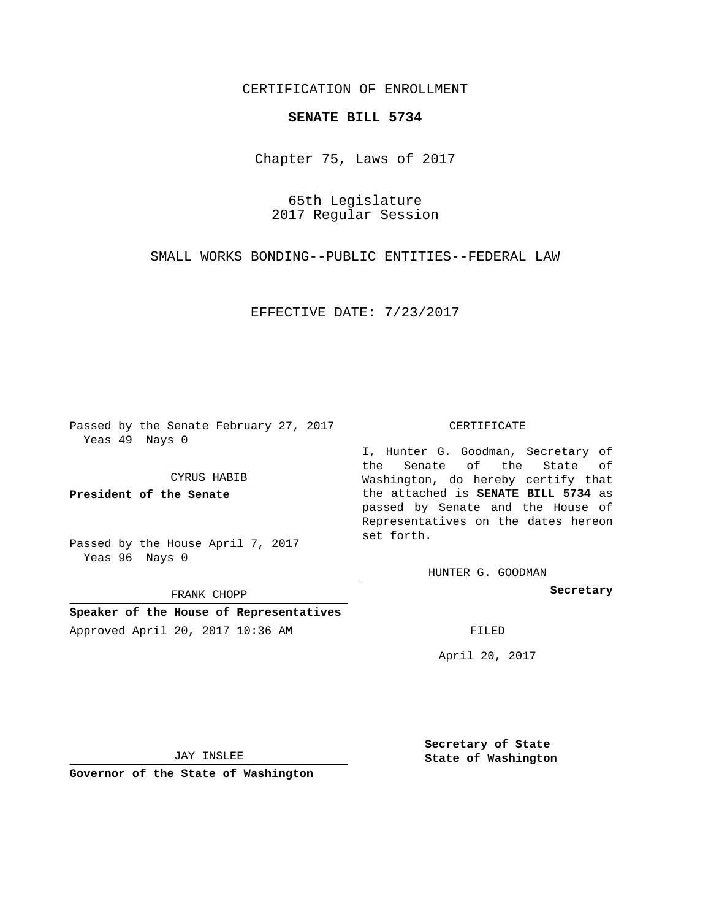CERTIFICATION OF ENROLLMENT

## **SENATE BILL 5734**

Chapter 75, Laws of 2017

65th Legislature 2017 Regular Session

SMALL WORKS BONDING--PUBLIC ENTITIES--FEDERAL LAW

EFFECTIVE DATE: 7/23/2017

Passed by the Senate February 27, 2017 Yeas 49 Nays 0

CYRUS HABIB

**President of the Senate**

Passed by the House April 7, 2017 Yeas 96 Nays 0

FRANK CHOPP

**Speaker of the House of Representatives** Approved April 20, 2017 10:36 AM FILED

## CERTIFICATE

I, Hunter G. Goodman, Secretary of the Senate of the State of Washington, do hereby certify that the attached is **SENATE BILL 5734** as passed by Senate and the House of Representatives on the dates hereon set forth.

HUNTER G. GOODMAN

**Secretary**

April 20, 2017

JAY INSLEE

**Governor of the State of Washington**

**Secretary of State State of Washington**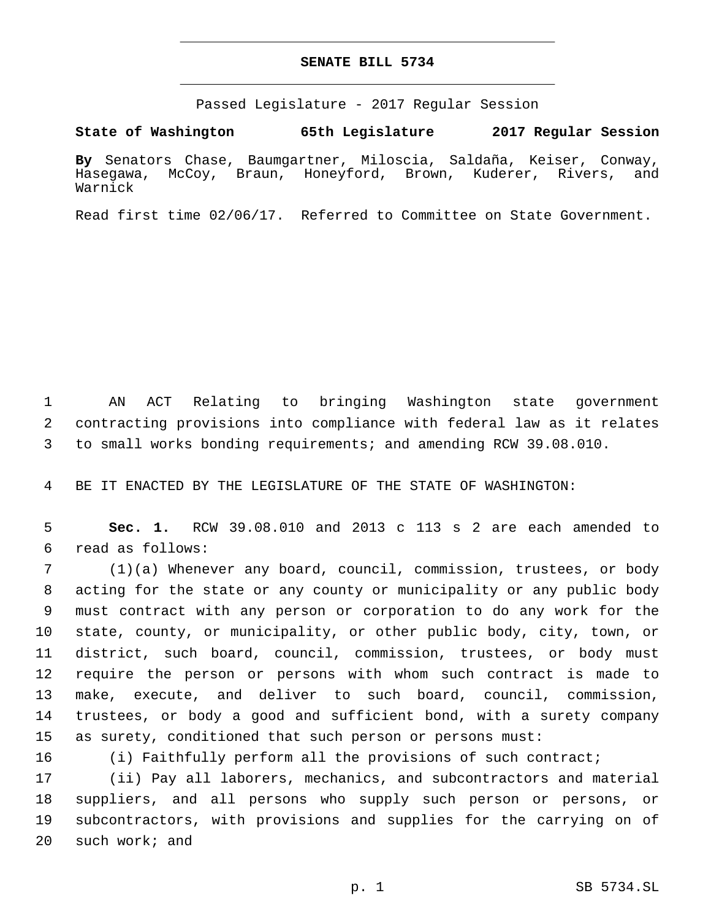## **SENATE BILL 5734**

Passed Legislature - 2017 Regular Session

**State of Washington 65th Legislature 2017 Regular Session**

**By** Senators Chase, Baumgartner, Miloscia, Saldaña, Keiser, Conway, Hasegawa, McCoy, Braun, Honeyford, Brown, Kuderer, Rivers, and Warnick

Read first time 02/06/17. Referred to Committee on State Government.

 AN ACT Relating to bringing Washington state government contracting provisions into compliance with federal law as it relates to small works bonding requirements; and amending RCW 39.08.010.

BE IT ENACTED BY THE LEGISLATURE OF THE STATE OF WASHINGTON:

 **Sec. 1.** RCW 39.08.010 and 2013 c 113 s 2 are each amended to read as follows:6

 (1)(a) Whenever any board, council, commission, trustees, or body acting for the state or any county or municipality or any public body must contract with any person or corporation to do any work for the state, county, or municipality, or other public body, city, town, or district, such board, council, commission, trustees, or body must require the person or persons with whom such contract is made to make, execute, and deliver to such board, council, commission, trustees, or body a good and sufficient bond, with a surety company as surety, conditioned that such person or persons must:

(i) Faithfully perform all the provisions of such contract;

 (ii) Pay all laborers, mechanics, and subcontractors and material suppliers, and all persons who supply such person or persons, or subcontractors, with provisions and supplies for the carrying on of 20 such work; and